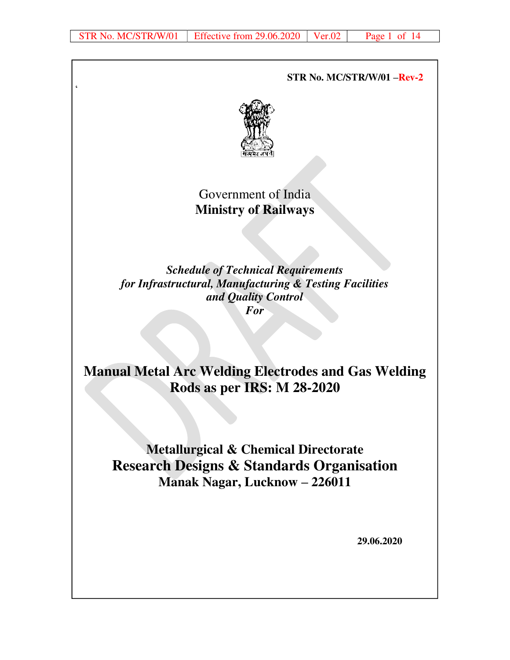$\zeta$ 

 **STR No. MC/STR/W/01 –Rev-2**



Government of India **Ministry of Railways** 

*Schedule of Technical Requirements for Infrastructural, Manufacturing & Testing Facilities and Quality Control For* 

**Manual Metal Arc Welding Electrodes and Gas Welding Rods as per IRS: M 28-2020** 

**Metallurgical & Chemical Directorate Research Designs & Standards Organisation Manak Nagar, Lucknow – 226011** 

 **29.06.2020**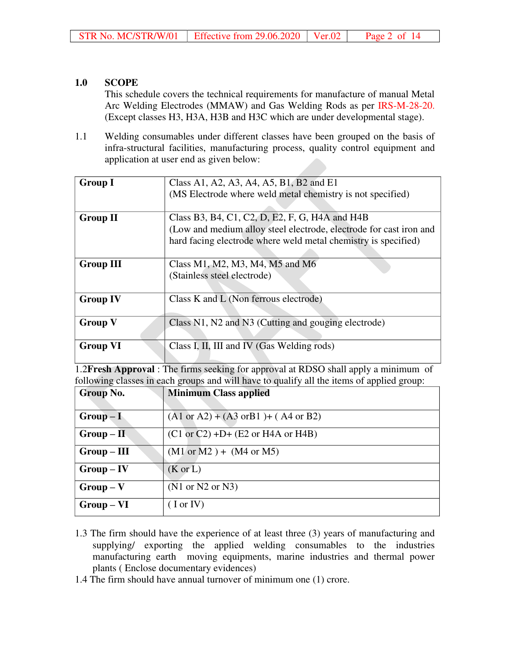## **1.0 SCOPE**

This schedule covers the technical requirements for manufacture of manual Metal Arc Welding Electrodes (MMAW) and Gas Welding Rods as per IRS-M-28-20. (Except classes H3, H3A, H3B and H3C which are under developmental stage).

1.1 Welding consumables under different classes have been grouped on the basis of infra-structural facilities, manufacturing process, quality control equipment and application at user end as given below:

| <b>Group I</b>                                                                            | Class A1, A2, A3, A4, A5, B1, B2 and E1                                             |  |  |  |  |  |  |  |  |
|-------------------------------------------------------------------------------------------|-------------------------------------------------------------------------------------|--|--|--|--|--|--|--|--|
|                                                                                           | (MS Electrode where weld metal chemistry is not specified)                          |  |  |  |  |  |  |  |  |
|                                                                                           |                                                                                     |  |  |  |  |  |  |  |  |
| <b>Group II</b>                                                                           | Class B3, B4, C1, C2, D, E2, F, G, H4A and H4B                                      |  |  |  |  |  |  |  |  |
|                                                                                           | (Low and medium alloy steel electrode, electrode for cast iron and                  |  |  |  |  |  |  |  |  |
|                                                                                           | hard facing electrode where weld metal chemistry is specified)                      |  |  |  |  |  |  |  |  |
|                                                                                           |                                                                                     |  |  |  |  |  |  |  |  |
| <b>Group III</b>                                                                          | Class M1, M2, M3, M4, M5 and M6                                                     |  |  |  |  |  |  |  |  |
|                                                                                           | (Stainless steel electrode)                                                         |  |  |  |  |  |  |  |  |
|                                                                                           |                                                                                     |  |  |  |  |  |  |  |  |
| <b>Group IV</b>                                                                           | Class K and L (Non ferrous electrode)                                               |  |  |  |  |  |  |  |  |
|                                                                                           |                                                                                     |  |  |  |  |  |  |  |  |
| <b>Group V</b>                                                                            | Class N1, N2 and N3 (Cutting and gouging electrode)                                 |  |  |  |  |  |  |  |  |
|                                                                                           |                                                                                     |  |  |  |  |  |  |  |  |
| <b>Group VI</b>                                                                           | Class I, II, III and IV (Gas Welding rods)                                          |  |  |  |  |  |  |  |  |
|                                                                                           |                                                                                     |  |  |  |  |  |  |  |  |
|                                                                                           | 1.2Fresh Approval : The firms seeking for approval at RDSO shall apply a minimum of |  |  |  |  |  |  |  |  |
| following classes in each groups and will have to qualify all the items of applied group: |                                                                                     |  |  |  |  |  |  |  |  |

| Group No.    | <b>Minimum Class applied</b>                                      |
|--------------|-------------------------------------------------------------------|
| $Group-I$    | $(A1 \text{ or } A2) + (A3 \text{ or } B1) + (A4 \text{ or } B2)$ |
| $Group-II$   | $(C1 or C2) +D+ (E2 or H4A or H4B)$                               |
| $Group-III$  | $(M1 \text{ or } M2) + (M4 \text{ or } M5)$                       |
| $Group - IV$ | $(K \text{ or } L)$                                               |
| $Group-V$    | (N1 or N2 or N3)                                                  |
| $Group - VI$ | $($ I or IV $)$                                                   |

- 1.3 The firm should have the experience of at least three (3) years of manufacturing and supplying/ exporting the applied welding consumables to the industries manufacturing earth moving equipments, marine industries and thermal power plants ( Enclose documentary evidences)
- 1.4 The firm should have annual turnover of minimum one (1) crore.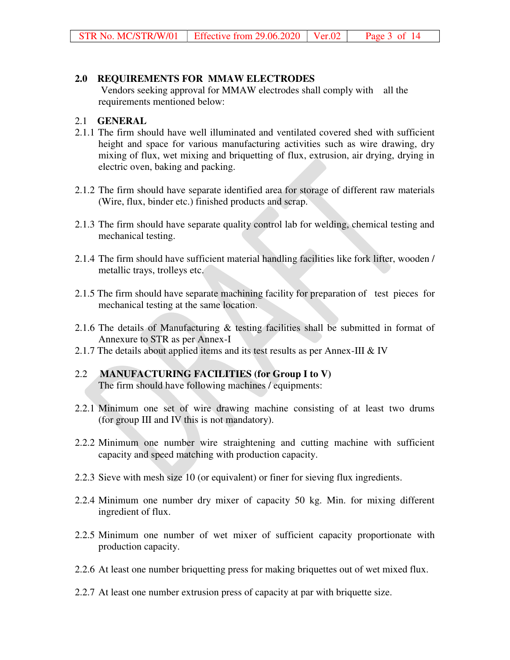#### **2.0 REQUIREMENTS FOR MMAW ELECTRODES**

 Vendors seeking approval for MMAW electrodes shall comply with all the requirements mentioned below:

#### 2.1 **GENERAL**

- 2.1.1 The firm should have well illuminated and ventilated covered shed with sufficient height and space for various manufacturing activities such as wire drawing, dry mixing of flux, wet mixing and briquetting of flux, extrusion, air drying, drying in electric oven, baking and packing.
- 2.1.2 The firm should have separate identified area for storage of different raw materials (Wire, flux, binder etc.) finished products and scrap.
- 2.1.3 The firm should have separate quality control lab for welding, chemical testing and mechanical testing.
- 2.1.4 The firm should have sufficient material handling facilities like fork lifter, wooden / metallic trays, trolleys etc.
- 2.1.5 The firm should have separate machining facility for preparation of test pieces for mechanical testing at the same location.
- 2.1.6 The details of Manufacturing & testing facilities shall be submitted in format of Annexure to STR as per Annex-I
- 2.1.7 The details about applied items and its test results as per Annex-III & IV
- 2.2 **MANUFACTURING FACILITIES (for Group I to V)** The firm should have following machines / equipments:
- 2.2.1 Minimum one set of wire drawing machine consisting of at least two drums (for group III and IV this is not mandatory).
- 2.2.2 Minimum one number wire straightening and cutting machine with sufficient capacity and speed matching with production capacity.
- 2.2.3 Sieve with mesh size 10 (or equivalent) or finer for sieving flux ingredients.
- 2.2.4 Minimum one number dry mixer of capacity 50 kg. Min. for mixing different ingredient of flux.
- 2.2.5 Minimum one number of wet mixer of sufficient capacity proportionate with production capacity.
- 2.2.6 At least one number briquetting press for making briquettes out of wet mixed flux.
- 2.2.7 At least one number extrusion press of capacity at par with briquette size.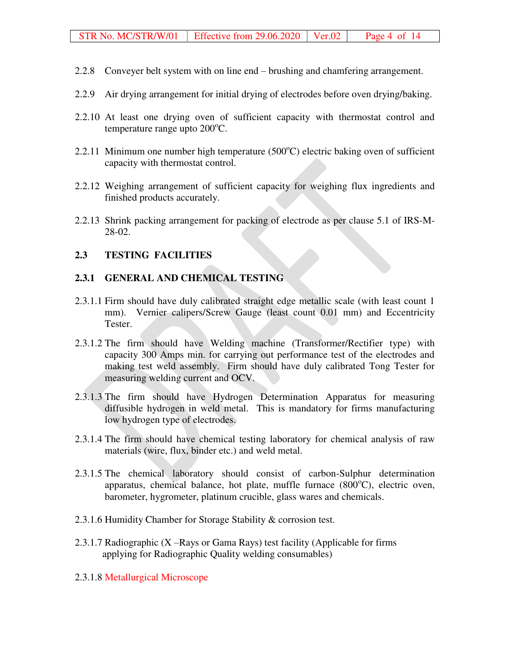- 2.2.8 Conveyer belt system with on line end brushing and chamfering arrangement.
- 2.2.9 Air drying arrangement for initial drying of electrodes before oven drying/baking.
- 2.2.10 At least one drying oven of sufficient capacity with thermostat control and temperature range upto  $200^{\circ}$ C.
- 2.2.11 Minimum one number high temperature  $(500^{\circ}C)$  electric baking oven of sufficient capacity with thermostat control.
- 2.2.12 Weighing arrangement of sufficient capacity for weighing flux ingredients and finished products accurately.
- 2.2.13 Shrink packing arrangement for packing of electrode as per clause 5.1 of IRS-M-28-02.

#### **2.3 TESTING FACILITIES**

#### **2.3.1 GENERAL AND CHEMICAL TESTING**

- 2.3.1.1 Firm should have duly calibrated straight edge metallic scale (with least count 1 mm). Vernier calipers/Screw Gauge (least count 0.01 mm) and Eccentricity Tester.
- 2.3.1.2 The firm should have Welding machine (Transformer/Rectifier type) with capacity 300 Amps min. for carrying out performance test of the electrodes and making test weld assembly. Firm should have duly calibrated Tong Tester for measuring welding current and OCV.
- 2.3.1.3 The firm should have Hydrogen Determination Apparatus for measuring diffusible hydrogen in weld metal. This is mandatory for firms manufacturing low hydrogen type of electrodes.
- 2.3.1.4 The firm should have chemical testing laboratory for chemical analysis of raw materials (wire, flux, binder etc.) and weld metal.
- 2.3.1.5 The chemical laboratory should consist of carbon-Sulphur determination apparatus, chemical balance, hot plate, muffle furnace  $(800^{\circ}C)$ , electric oven, barometer, hygrometer, platinum crucible, glass wares and chemicals.
- 2.3.1.6 Humidity Chamber for Storage Stability & corrosion test.
- 2.3.1.7 Radiographic (X –Rays or Gama Rays) test facility (Applicable for firms applying for Radiographic Quality welding consumables)
- 2.3.1.8 Metallurgical Microscope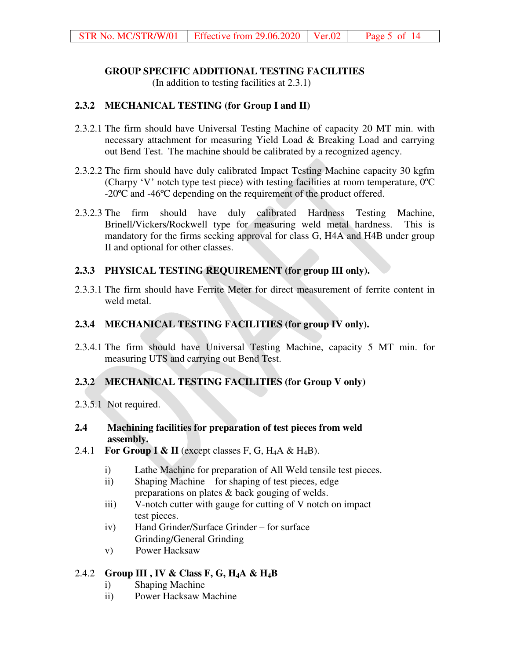#### **GROUP SPECIFIC ADDITIONAL TESTING FACILITIES**

(In addition to testing facilities at 2.3.1)

## **2.3.2 MECHANICAL TESTING (for Group I and II)**

- 2.3.2.1 The firm should have Universal Testing Machine of capacity 20 MT min. with necessary attachment for measuring Yield Load & Breaking Load and carrying out Bend Test. The machine should be calibrated by a recognized agency.
- 2.3.2.2 The firm should have duly calibrated Impact Testing Machine capacity 30 kgfm (Charpy 'V' notch type test piece) with testing facilities at room temperature, 0ºC -20ºC and -46ºC depending on the requirement of the product offered.
- 2.3.2.3 The firm should have duly calibrated Hardness Testing Machine, Brinell/Vickers/Rockwell type for measuring weld metal hardness. This is mandatory for the firms seeking approval for class G, H4A and H4B under group II and optional for other classes.

## **2.3.3 PHYSICAL TESTING REQUIREMENT (for group III only).**

2.3.3.1 The firm should have Ferrite Meter for direct measurement of ferrite content in weld metal.

## **2.3.4 MECHANICAL TESTING FACILITIES (for group IV only).**

2.3.4.1 The firm should have Universal Testing Machine, capacity 5 MT min. for measuring UTS and carrying out Bend Test.

## **2.3.2 MECHANICAL TESTING FACILITIES (for Group V only)**

2.3.5.1 Not required.

### **2.4 Machining facilities for preparation of test pieces from weld assembly.**

- 2.4.1 **For Group I & II** (except classes F, G,  $H_4A \& H_4B$ ).
	- i) Lathe Machine for preparation of All Weld tensile test pieces.
	- ii) Shaping Machine for shaping of test pieces, edge preparations on plates & back gouging of welds.
	- iii) V-notch cutter with gauge for cutting of V notch on impact test pieces.
	- iv) Hand Grinder/Surface Grinder for surface Grinding/General Grinding
	- v) Power Hacksaw

## 2.4.2 **Group III , IV & Class F, G, H4A & H4B**

- i) Shaping Machine
- ii) Power Hacksaw Machine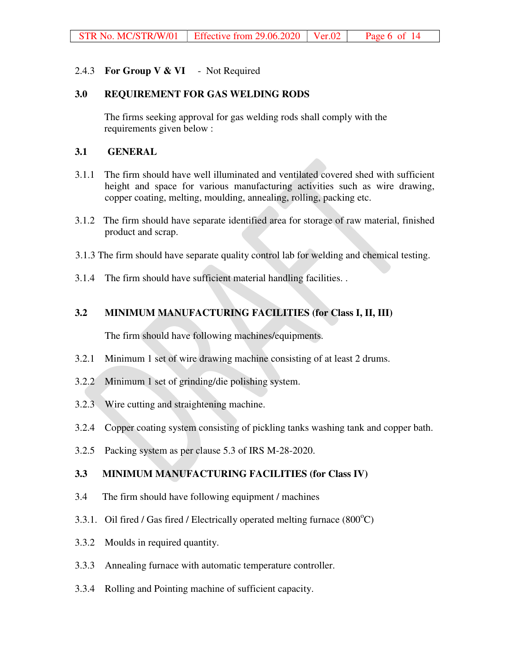### 2.4.3 **For Group V & VI** - Not Required

#### **3.0 REQUIREMENT FOR GAS WELDING RODS**

The firms seeking approval for gas welding rods shall comply with the requirements given below :

#### **3.1 GENERAL**

- 3.1.1 The firm should have well illuminated and ventilated covered shed with sufficient height and space for various manufacturing activities such as wire drawing, copper coating, melting, moulding, annealing, rolling, packing etc.
- 3.1.2 The firm should have separate identified area for storage of raw material, finished product and scrap.
- 3.1.3 The firm should have separate quality control lab for welding and chemical testing.
- 3.1.4 The firm should have sufficient material handling facilities. .

## **3.2 MINIMUM MANUFACTURING FACILITIES (for Class I, II, III)**

The firm should have following machines/equipments.

- 3.2.1 Minimum 1 set of wire drawing machine consisting of at least 2 drums.
- 3.2.2 Minimum 1 set of grinding/die polishing system.
- 3.2.3 Wire cutting and straightening machine.
- 3.2.4 Copper coating system consisting of pickling tanks washing tank and copper bath.
- 3.2.5 Packing system as per clause 5.3 of IRS M-28-2020.

## **3.3 MINIMUM MANUFACTURING FACILITIES (for Class IV)**

- 3.4 The firm should have following equipment / machines
- 3.3.1. Oil fired / Gas fired / Electrically operated melting furnace  $(800^{\circ}C)$
- 3.3.2 Moulds in required quantity.
- 3.3.3 Annealing furnace with automatic temperature controller.
- 3.3.4 Rolling and Pointing machine of sufficient capacity.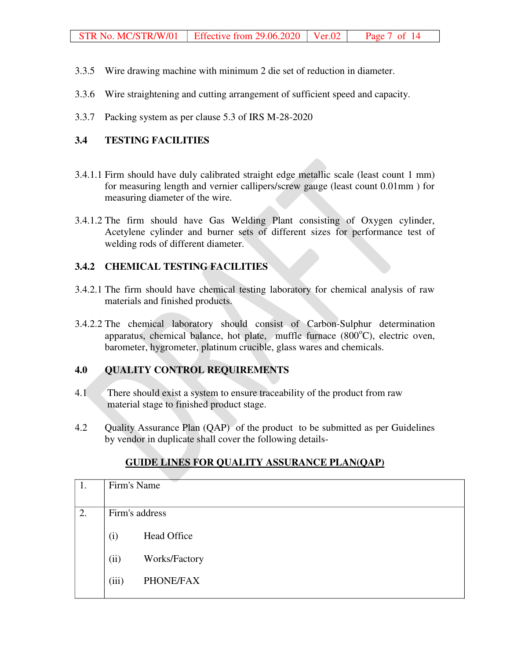- 3.3.5 Wire drawing machine with minimum 2 die set of reduction in diameter.
- 3.3.6 Wire straightening and cutting arrangement of sufficient speed and capacity.
- 3.3.7 Packing system as per clause 5.3 of IRS M-28-2020

## **3.4 TESTING FACILITIES**

- 3.4.1.1 Firm should have duly calibrated straight edge metallic scale (least count 1 mm) for measuring length and vernier callipers/screw gauge (least count 0.01mm ) for measuring diameter of the wire.
- 3.4.1.2 The firm should have Gas Welding Plant consisting of Oxygen cylinder, Acetylene cylinder and burner sets of different sizes for performance test of welding rods of different diameter.

### **3.4.2 CHEMICAL TESTING FACILITIES**

- 3.4.2.1 The firm should have chemical testing laboratory for chemical analysis of raw materials and finished products.
- 3.4.2.2 The chemical laboratory should consist of Carbon-Sulphur determination apparatus, chemical balance, hot plate, muffle furnace  $(800^{\circ}C)$ , electric oven, barometer, hygrometer, platinum crucible, glass wares and chemicals.

## **4.0 QUALITY CONTROL REQUIREMENTS**

- 4.1 There should exist a system to ensure traceability of the product from raw material stage to finished product stage.
- 4.2 Quality Assurance Plan (QAP) of the product to be submitted as per Guidelines by vendor in duplicate shall cover the following details-

| 1. | Firm's Name    |                    |
|----|----------------|--------------------|
| 2. | Firm's address |                    |
|    | (i)            | <b>Head Office</b> |
|    | (ii)           | Works/Factory      |
|    | (iii)          | PHONE/FAX          |

## **GUIDE LINES FOR QUALITY ASSURANCE PLAN(QAP)**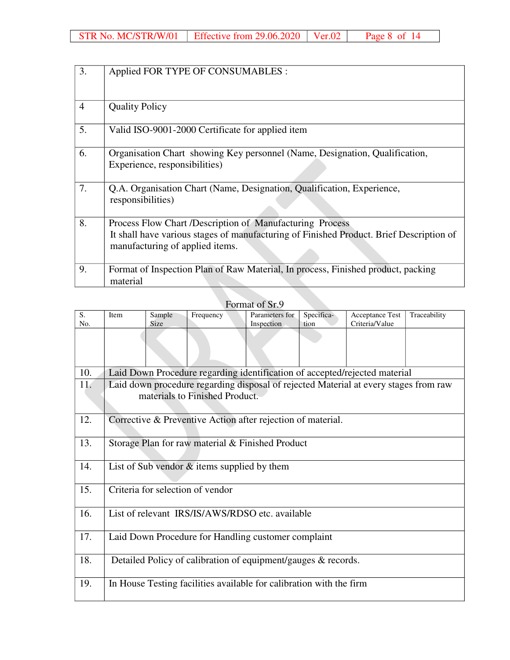| 3.             | Applied FOR TYPE OF CONSUMABLES :                                                                                                                                                      |
|----------------|----------------------------------------------------------------------------------------------------------------------------------------------------------------------------------------|
| $\overline{4}$ | <b>Quality Policy</b>                                                                                                                                                                  |
| 5.             | Valid ISO-9001-2000 Certificate for applied item                                                                                                                                       |
| 6.             | Organisation Chart showing Key personnel (Name, Designation, Qualification,<br>Experience, responsibilities)                                                                           |
| 7.             | Q.A. Organisation Chart (Name, Designation, Qualification, Experience,<br>responsibilities)                                                                                            |
| 8.             | Process Flow Chart /Description of Manufacturing Process<br>It shall have various stages of manufacturing of Finished Product. Brief Description of<br>manufacturing of applied items. |
| 9.             | Format of Inspection Plan of Raw Material, In process, Finished product, packing<br>material                                                                                           |

| Format of Sr.9 |  |
|----------------|--|
|----------------|--|

| S.<br>No. | Item                                                                                                                   | Sample<br>Size | Frequency                                                           | Parameters for<br>Inspection | Specifica-<br>tion | Acceptance Test<br>Criteria/Value                                          | Traceability |  |  |  |
|-----------|------------------------------------------------------------------------------------------------------------------------|----------------|---------------------------------------------------------------------|------------------------------|--------------------|----------------------------------------------------------------------------|--------------|--|--|--|
|           |                                                                                                                        |                |                                                                     |                              |                    |                                                                            |              |  |  |  |
| 10.       |                                                                                                                        |                |                                                                     |                              |                    | Laid Down Procedure regarding identification of accepted/rejected material |              |  |  |  |
| 11.       | Laid down procedure regarding disposal of rejected Material at every stages from raw<br>materials to Finished Product. |                |                                                                     |                              |                    |                                                                            |              |  |  |  |
| 12.       |                                                                                                                        |                | Corrective & Preventive Action after rejection of material.         |                              |                    |                                                                            |              |  |  |  |
| 13.       |                                                                                                                        |                | Storage Plan for raw material & Finished Product                    |                              |                    |                                                                            |              |  |  |  |
| 14.       |                                                                                                                        |                | List of Sub vendor $\&$ items supplied by them                      |                              |                    |                                                                            |              |  |  |  |
| 15.       | Criteria for selection of vendor                                                                                       |                |                                                                     |                              |                    |                                                                            |              |  |  |  |
| 16.       | List of relevant IRS/IS/AWS/RDSO etc. available                                                                        |                |                                                                     |                              |                    |                                                                            |              |  |  |  |
| 17.       | Laid Down Procedure for Handling customer complaint                                                                    |                |                                                                     |                              |                    |                                                                            |              |  |  |  |
| 18.       | Detailed Policy of calibration of equipment/gauges & records.                                                          |                |                                                                     |                              |                    |                                                                            |              |  |  |  |
| 19.       |                                                                                                                        |                | In House Testing facilities available for calibration with the firm |                              |                    |                                                                            |              |  |  |  |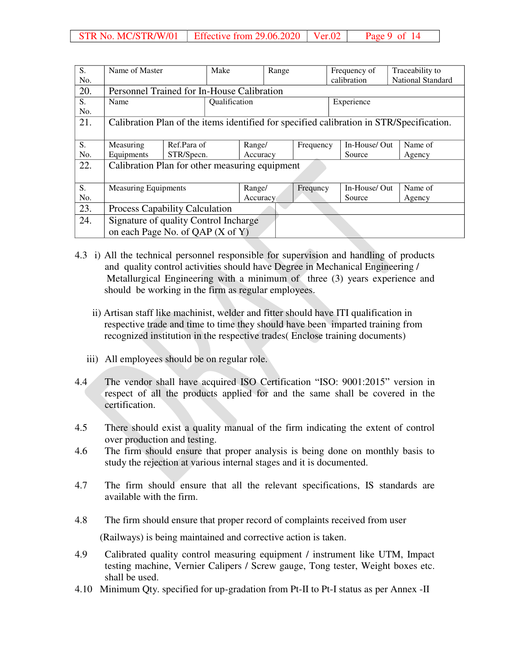| S.  | Name of Master                                                                           |             | Make          | Range  |             | Frequency of |        |                   | Traceability to |         |
|-----|------------------------------------------------------------------------------------------|-------------|---------------|--------|-------------|--------------|--------|-------------------|-----------------|---------|
| No. |                                                                                          |             |               |        | calibration |              |        | National Standard |                 |         |
| 20. | Personnel Trained for In-House Calibration                                               |             |               |        |             |              |        |                   |                 |         |
| S.  | Name                                                                                     |             | Qualification |        |             |              |        | Experience        |                 |         |
| No. |                                                                                          |             |               |        |             |              |        |                   |                 |         |
| 21. | Calibration Plan of the items identified for specified calibration in STR/Specification. |             |               |        |             |              |        |                   |                 |         |
|     |                                                                                          |             |               |        |             |              |        |                   |                 |         |
| S.  | Measuring                                                                                | Ref.Para of |               | Range/ |             | Frequency    |        | In-House/Out      |                 | Name of |
| No. | Equipments                                                                               | STR/Specn.  |               |        | Accuracy    |              | Source |                   |                 | Agency  |
| 22. | Calibration Plan for other measuring equipment                                           |             |               |        |             |              |        |                   |                 |         |
|     |                                                                                          |             |               |        |             |              |        |                   |                 |         |
| S.  | <b>Measuring Equipments</b>                                                              |             |               | Range/ |             | Frequncy     |        | In-House/Out      |                 | Name of |
| No. |                                                                                          |             |               |        | Accuracy    |              |        | Source            |                 | Agency  |
| 23. | <b>Process Capability Calculation</b>                                                    |             |               |        |             |              |        |                   |                 |         |
| 24. | Signature of quality Control Incharge                                                    |             |               |        |             |              |        |                   |                 |         |
|     | on each Page No. of QAP (X of Y)                                                         |             |               |        |             |              |        |                   |                 |         |

- 4.3 i) All the technical personnel responsible for supervision and handling of products and quality control activities should have Degree in Mechanical Engineering / Metallurgical Engineering with a minimum of three (3) years experience and should be working in the firm as regular employees.
	- ii) Artisan staff like machinist, welder and fitter should have ITI qualification in respective trade and time to time they should have been imparted training from recognized institution in the respective trades( Enclose training documents)
	- iii) All employees should be on regular role.
- 4.4 The vendor shall have acquired ISO Certification "ISO: 9001:2015" version in respect of all the products applied for and the same shall be covered in the certification.
- 4.5 There should exist a quality manual of the firm indicating the extent of control over production and testing.
- 4.6 The firm should ensure that proper analysis is being done on monthly basis to study the rejection at various internal stages and it is documented.
- 4.7 The firm should ensure that all the relevant specifications, IS standards are available with the firm.
- 4.8 The firm should ensure that proper record of complaints received from user (Railways) is being maintained and corrective action is taken.
- 4.9 Calibrated quality control measuring equipment / instrument like UTM, Impact testing machine, Vernier Calipers / Screw gauge, Tong tester, Weight boxes etc. shall be used.
- 4.10 Minimum Qty. specified for up-gradation from Pt-II to Pt-I status as per Annex -II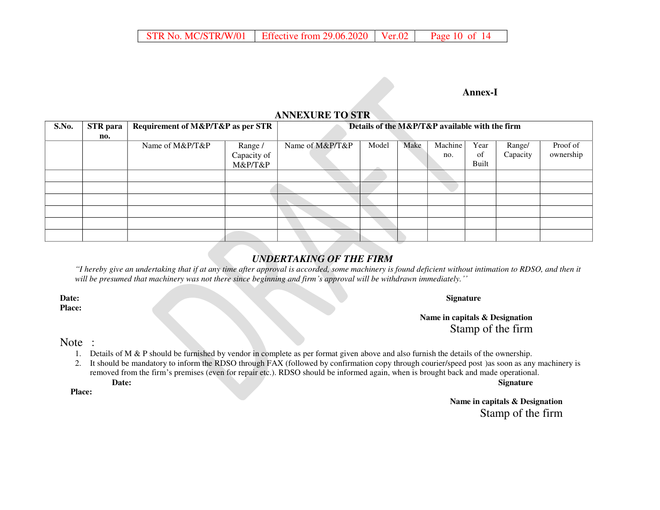#### **Annex-I**

## **ANNEXURE TO STR**

| S.No. | <b>STR</b> para | Requirement of M&P/T&P as per STR |             |                 | Details of the M&P/T&P available with the firm |      |         |       |          |           |
|-------|-----------------|-----------------------------------|-------------|-----------------|------------------------------------------------|------|---------|-------|----------|-----------|
|       | no.             |                                   |             |                 |                                                |      |         |       |          |           |
|       |                 | Name of M&P/T&P                   | Range /     | Name of M&P/T&P | Model                                          | Make | Machine | Year  | Range/   | Proof of  |
|       |                 |                                   | Capacity of |                 |                                                |      | no.     | of    | Capacity | ownership |
|       |                 |                                   | M&P/T&P     |                 |                                                |      |         | Built |          |           |
|       |                 |                                   |             |                 |                                                |      |         |       |          |           |
|       |                 |                                   |             |                 |                                                |      |         |       |          |           |
|       |                 |                                   |             |                 |                                                |      |         |       |          |           |
|       |                 |                                   |             |                 |                                                |      |         |       |          |           |
|       |                 |                                   |             |                 |                                                |      |         |       |          |           |
|       |                 |                                   |             |                 |                                                |      |         |       |          |           |

## *UNDERTAKING OF THE FIRM*

*"I hereby give an undertaking that if at any time after approval is accorded, some machinery is found deficient without intimation to RDSO, and then it will be presumed that machinery was not there since beginning and firm's approval will be withdrawn immediately.''*

**Place:** 

**Date:** Signature **Signature** 

**Name in capitals & Designation**  Stamp of the firm

#### Note :

- 1. Details of M & P should be furnished by vendor in complete as per format given above and also furnish the details of the ownership.
- 2. It should be mandatory to inform the RDSO through FAX (followed by confirmation copy through courier/speed post )as soon as any machinery is removed from the firm's premises (even for repair etc.). RDSO should be informed again, when is brought back and made operational. **Date:** Signature **Signature Signature Signature Signature Signature Signature**

 **Place:** 

**Name in capitals & Designation**  Stamp of the firm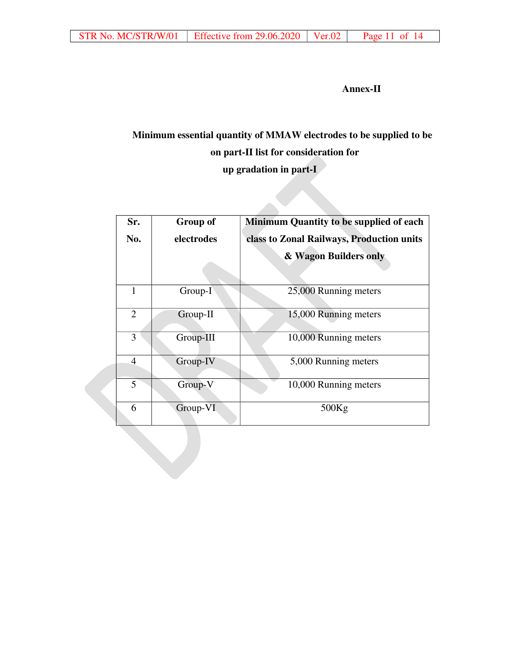**Annex-II**

# **Minimum essential quantity of MMAW electrodes to be supplied to be on part-II list for consideration for up gradation in part-I**

| Sr.            | <b>Group of</b> | <b>Minimum Quantity to be supplied of each</b> |
|----------------|-----------------|------------------------------------------------|
| No.            | electrodes      | class to Zonal Railways, Production units      |
|                |                 | & Wagon Builders only                          |
| 1              | Group-I         | 25,000 Running meters                          |
| $\overline{2}$ | Group-II        | 15,000 Running meters                          |
| 3              | Group-III       | 10,000 Running meters                          |
| $\overline{4}$ | Group-IV        | 5,000 Running meters                           |
| 5              | Group-V         | 10,000 Running meters                          |
| 6              | Group-VI        | 500Kg                                          |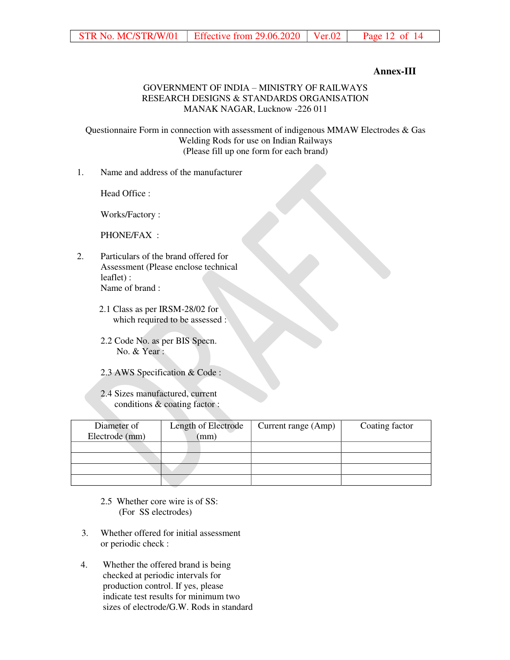#### **Annex-III**

#### GOVERNMENT OF INDIA – MINISTRY OF RAILWAYS RESEARCH DESIGNS & STANDARDS ORGANISATION MANAK NAGAR, Lucknow -226 011

Questionnaire Form in connection with assessment of indigenous MMAW Electrodes & Gas Welding Rods for use on Indian Railways (Please fill up one form for each brand)

1. Name and address of the manufacturer

Head Office :

Works/Factory :

PHONE/FAX :

- 2. Particulars of the brand offered for Assessment (Please enclose technical leaflet) : Name of brand :
	- 2.1 Class as per IRSM-28/02 for which required to be assessed :
	- 2.2 Code No. as per BIS Specn. No. & Year :
	- 2.3 AWS Specification & Code :
	- 2.4 Sizes manufactured, current conditions & coating factor :

| Diameter of<br>Electrode (mm) | Length of Electrode<br>(mm) | Current range (Amp) | Coating factor |
|-------------------------------|-----------------------------|---------------------|----------------|
|                               |                             |                     |                |
|                               |                             |                     |                |
|                               |                             |                     |                |
|                               |                             |                     |                |

- 2.5 Whether core wire is of SS: (For SS electrodes)
- 3. Whether offered for initial assessment or periodic check :
- 4. Whether the offered brand is being checked at periodic intervals for production control. If yes, please indicate test results for minimum two sizes of electrode/G.W. Rods in standard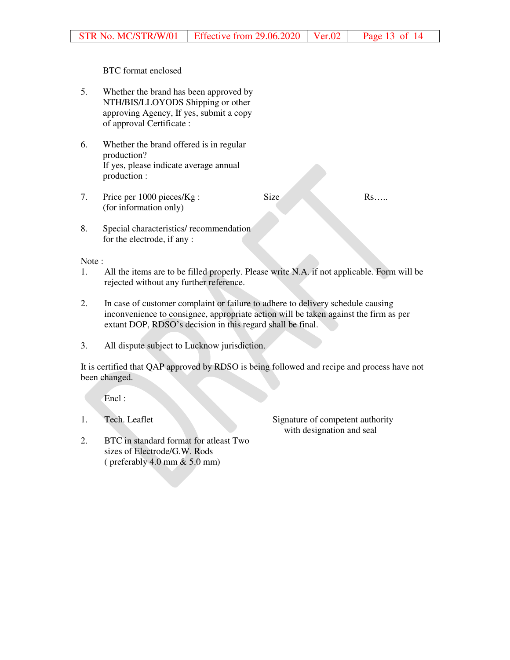#### BTC format enclosed

- 5. Whether the brand has been approved by NTH/BIS/LLOYODS Shipping or other approving Agency, If yes, submit a copy of approval Certificate :
- 6. Whether the brand offered is in regular production? If yes, please indicate average annual production :
- 7. Price per 1000 pieces/Kg : (for information only) Size Rs…..
- 8. Special characteristics/ recommendation for the electrode, if any :

#### Note :

- 1. All the items are to be filled properly. Please write N.A. if not applicable. Form will be rejected without any further reference.
- 2. In case of customer complaint or failure to adhere to delivery schedule causing inconvenience to consignee, appropriate action will be taken against the firm as per extant DOP, RDSO's decision in this regard shall be final.
- 3. All dispute subject to Lucknow jurisdiction.

It is certified that QAP approved by RDSO is being followed and recipe and process have not been changed.

Encl :

1. Tech. Leaflet Signature of competent authority with designation and seal

2. BTC in standard format for atleast Two sizes of Electrode/G.W. Rods ( preferably 4.0 mm & 5.0 mm)